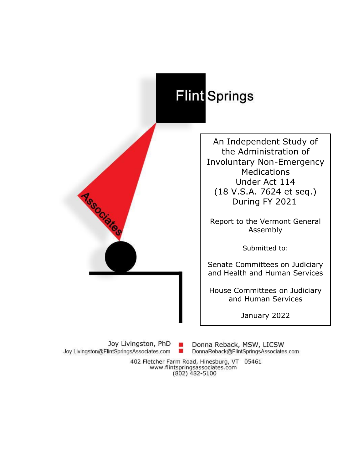# Flint Springs

An Independent Study of the Administration of Involuntary Non-Emergency Medications Under Act 114 (18 V.S.A. 7624 et seq.) During FY 2021

Report to the Vermont General Assembly

Submitted to:

Senate Committees on Judiciary and Health and Human Services

House Committees on Judiciary and Human Services

January 2022

Joy Livingston, PhD Joy Livingston@FlintSpringsAssociates.com ٠

**Association** 

Donna Reback, MSW, LICSW DonnaReback@FlintSpringsAssociates.com

402 Fletcher Farm Road, Hinesburg, VT 05461 www.flintspringsassociates.com  $(802)$  482-5100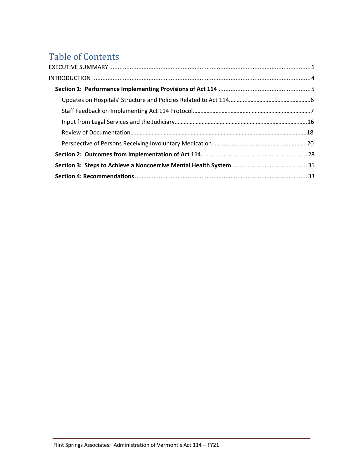# Table of Contents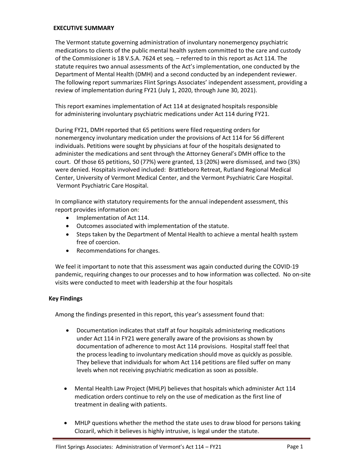#### <span id="page-2-0"></span>**EXECUTIVE SUMMARY**

The Vermont statute governing administration of involuntary nonemergency psychiatric medications to clients of the public mental health system committed to the care and custody of the Commissioner is 18 V.S.A. 7624 et seq. – referred to in this report as Act 114. The statute requires two annual assessments of the Act's implementation, one conducted by the Department of Mental Health (DMH) and a second conducted by an independent reviewer. The following report summarizes Flint Springs Associates' independent assessment, providing a review of implementation during FY21 (July 1, 2020, through June 30, 2021).

This report examines implementation of Act 114 at designated hospitals responsible for administering involuntary psychiatric medications under Act 114 during FY21.

During FY21, DMH reported that 65 petitions were filed requesting orders for nonemergency involuntary medication under the provisions of Act 114 for 56 different individuals. Petitions were sought by physicians at four of the hospitals designated to administer the medications and sent through the Attorney General's DMH office to the court. Of those 65 petitions, 50 (77%) were granted, 13 (20%) were dismissed, and two (3%) were denied. Hospitals involved included: Brattleboro Retreat, Rutland Regional Medical Center, University of Vermont Medical Center, and the Vermont Psychiatric Care Hospital. Vermont Psychiatric Care Hospital.

In compliance with statutory requirements for the annual independent assessment, this report provides information on:

- Implementation of Act 114.
- Outcomes associated with implementation of the statute.
- Steps taken by the Department of Mental Health to achieve a mental health system free of coercion.
- Recommendations for changes.

We feel it important to note that this assessment was again conducted during the COVID-19 pandemic, requiring changes to our processes and to how information was collected. No on-site visits were conducted to meet with leadership at the four hospitals

#### **Key Findings**

Among the findings presented in this report, this year's assessment found that:

- Documentation indicates that staff at four hospitals administering medications under Act 114 in FY21 were generally aware of the provisions as shown by documentation of adherence to most Act 114 provisions. Hospital staff feel that the process leading to involuntary medication should move as quickly as possible. They believe that individuals for whom Act 114 petitions are filed suffer on many levels when not receiving psychiatric medication as soon as possible.
- Mental Health Law Project (MHLP) believes that hospitals which administer Act 114 medication orders continue to rely on the use of medication as the first line of treatment in dealing with patients.
- MHLP questions whether the method the state uses to draw blood for persons taking Clozaril, which it believes is highly intrusive, is legal under the statute.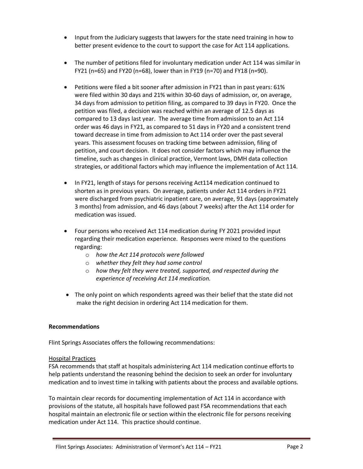- Input from the Judiciary suggests that lawyers for the state need training in how to better present evidence to the court to support the case for Act 114 applications.
- The number of petitions filed for involuntary medication under Act 114 was similar in FY21 (n=65) and FY20 (n=68), lower than in FY19 (n=70) and FY18 (n=90).
- Petitions were filed a bit sooner after admission in FY21 than in past years: 61% were filed within 30 days and 21% within 30-60 days of admission, or, on average, 34 days from admission to petition filing, as compared to 39 days in FY20. Once the petition was filed, a decision was reached within an average of 12.5 days as compared to 13 days last year. The average time from admission to an Act 114 order was 46 days in FY21, as compared to 51 days in FY20 and a consistent trend toward decrease in time from admission to Act 114 order over the past several years. This assessment focuses on tracking time between admission, filing of petition, and court decision. It does not consider factors which may influence the timeline, such as changes in clinical practice, Vermont laws, DMH data collection strategies, or additional factors which may influence the implementation of Act 114.
- In FY21, length of stays for persons receiving Act114 medication continued to shorten as in previous years. On average, patients under Act 114 orders in FY21 were discharged from psychiatric inpatient care, on average, 91 days (approximately 3 months) from admission, and 46 days (about 7 weeks) after the Act 114 order for medication was issued.
- Four persons who received Act 114 medication during FY 2021 provided input regarding their medication experience. Responses were mixed to the questions regarding:
	- o *how the Act 114 protocols were followed*
	- o *whether they felt they had some control*
	- o *how they felt they were treated, supported, and respected during the experience of receiving Act 114 medication.*
- The only point on which respondents agreed was their belief that the state did not make the right decision in ordering Act 114 medication for them.

#### **Recommendations**

Flint Springs Associates offers the following recommendations:

#### Hospital Practices

FSA recommends that staff at hospitals administering Act 114 medication continue efforts to help patients understand the reasoning behind the decision to seek an order for involuntary medication and to invest time in talking with patients about the process and available options.

To maintain clear records for documenting implementation of Act 114 in accordance with provisions of the statute, all hospitals have followed past FSA recommendations that each hospital maintain an electronic file or section within the electronic file for persons receiving medication under Act 114. This practice should continue.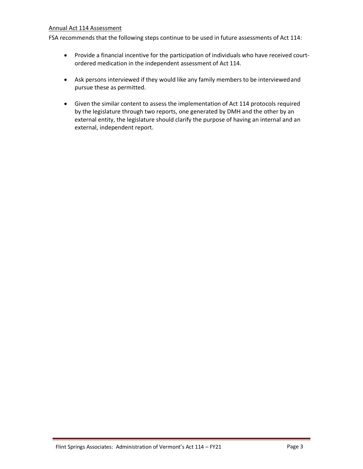#### Annual Act 114 Assessment

FSA recommends that the following steps continue to be used in future assessments of Act 114:

- Provide a financial incentive for the participation of individuals who have received courtordered medication in the independent assessment of Act 114.
- Ask persons interviewed if they would like any family members to be interviewedand pursue these as permitted.
- Given the similar content to assess the implementation of Act 114 protocols required by the legislature through two reports, one generated by DMH and the other by an external entity, the legislature should clarify the purpose of having an internal and an external, independent report.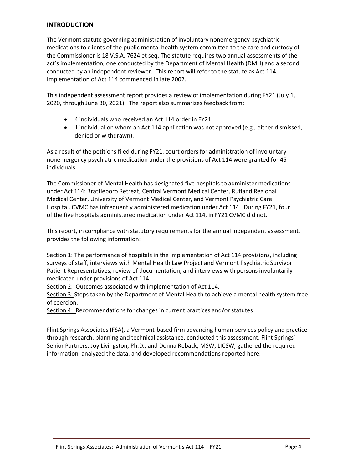#### <span id="page-5-0"></span>**INTRODUCTION**

The Vermont statute governing administration of involuntary nonemergency psychiatric medications to clients of the public mental health system committed to the care and custody of the Commissioner is 18 V.S.A. 7624 et seq. The statute requires two annual assessments of the act's implementation, one conducted by the Department of Mental Health (DMH) and a second conducted by an independent reviewer. This report will refer to the statute as Act 114. Implementation of Act 114 commenced in late 2002.

This independent assessment report provides a review of implementation during FY21 (July 1, 2020, through June 30, 2021). The report also summarizes feedback from:

- 4 individuals who received an Act 114 order in FY21.
- 1 individual on whom an Act 114 application was not approved (e.g., either dismissed, denied or withdrawn).

As a result of the petitions filed during FY21, court orders for administration of involuntary nonemergency psychiatric medication under the provisions of Act 114 were granted for 45 individuals.

The Commissioner of Mental Health has designated five hospitals to administer medications under Act 114: Brattleboro Retreat, Central Vermont Medical Center, Rutland Regional Medical Center, University of Vermont Medical Center, and Vermont Psychiatric Care Hospital. CVMC has infrequently administered medication under Act 114. During FY21, four of the five hospitals administered medication under Act 114, in FY21 CVMC did not.

This report, in compliance with statutory requirements for the annual independent assessment, provides the following information:

Section 1: The performance of hospitals in the implementation of Act 114 provisions, including surveys of staff, interviews with Mental Health Law Project and Vermont Psychiatric Survivor Patient Representatives, review of documentation, and interviews with persons involuntarily medicated under provisions of Act 114.

Section 2: Outcomes associated with implementation of Act 114.

Section 3: Steps taken by the Department of Mental Health to achieve a mental health system free of coercion.

Section 4: Recommendations for changes in current practices and/or statutes

Flint Springs Associates (FSA), a Vermont-based firm advancing human-services policy and practice through research, planning and technical assistance, conducted this assessment. Flint Springs' Senior Partners, Joy Livingston, Ph.D., and Donna Reback, MSW, LICSW, gathered the required information, analyzed the data, and developed recommendations reported here.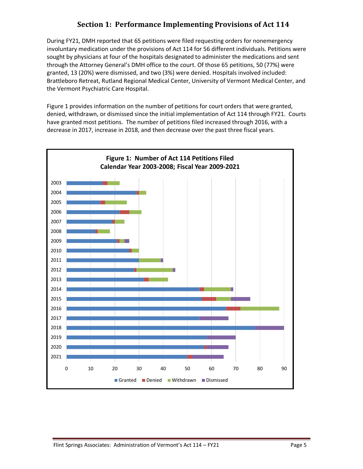# **Section 1: Performance Implementing Provisions of Act 114**

<span id="page-6-0"></span>During FY21, DMH reported that 65 petitions were filed requesting orders for nonemergency involuntary medication under the provisions of Act 114 for 56 different individuals. Petitions were sought by physicians at four of the hospitals designated to administer the medications and sent through the Attorney General's DMH office to the court. Of those 65 petitions, 50 (77%) were granted, 13 (20%) were dismissed, and two (3%) were denied. Hospitals involved included: Brattleboro Retreat, Rutland Regional Medical Center, University of Vermont Medical Center, and the Vermont Psychiatric Care Hospital.

Figure 1 provides information on the number of petitions for court orders that were granted, denied, withdrawn, or dismissed since the initial implementation of Act 114 through FY21. Courts have granted most petitions. The number of petitions filed increased through 2016, with a decrease in 2017, increase in 2018, and then decrease over the past three fiscal years.

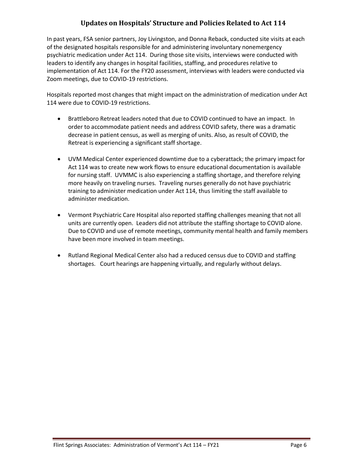# **Updates on Hospitals' Structure and Policies Related to Act 114**

<span id="page-7-0"></span>In past years, FSA senior partners, Joy Livingston, and Donna Reback, conducted site visits at each of the designated hospitals responsible for and administering involuntary nonemergency psychiatric medication under Act 114. During those site visits, interviews were conducted with leaders to identify any changes in hospital facilities, staffing, and procedures relative to implementation of Act 114. For the FY20 assessment, interviews with leaders were conducted via Zoom meetings, due to COVID-19 restrictions.

Hospitals reported most changes that might impact on the administration of medication under Act 114 were due to COVID-19 restrictions.

- Brattleboro Retreat leaders noted that due to COVID continued to have an impact. In order to accommodate patient needs and address COVID safety, there was a dramatic decrease in patient census, as well as merging of units. Also, as result of COVID, the Retreat is experiencing a significant staff shortage.
- UVM Medical Center experienced downtime due to a cyberattack; the primary impact for Act 114 was to create new work flows to ensure educational documentation is available for nursing staff. UVMMC is also experiencing a staffing shortage, and therefore relying more heavily on traveling nurses. Traveling nurses generally do not have psychiatric training to administer medication under Act 114, thus limiting the staff available to administer medication.
- Vermont Psychiatric Care Hospital also reported staffing challenges meaning that not all units are currently open. Leaders did not attribute the staffing shortage to COVID alone. Due to COVID and use of remote meetings, community mental health and family members have been more involved in team meetings.
- Rutland Regional Medical Center also had a reduced census due to COVID and staffing shortages. Court hearings are happening virtually, and regularly without delays.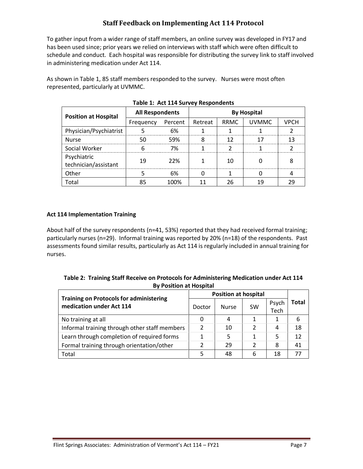# **Staff Feedback on Implementing Act 114 Protocol**

<span id="page-8-0"></span>To gather input from a wider range of staff members, an online survey was developed in FY17 and has been used since; prior years we relied on interviews with staff which were often difficult to schedule and conduct. Each hospital was responsible for distributing the survey link to staff involved in administering medication under Act 114.

As shown in Table 1, 85 staff members responded to the survey. Nurses were most often represented, particularly at UVMMC.

| <b>Position at Hospital</b>         | <b>All Respondents</b> |      | <b>By Hospital</b> |      |              |             |  |
|-------------------------------------|------------------------|------|--------------------|------|--------------|-------------|--|
|                                     | Frequency Percent      |      | Retreat            | RRMC | <b>UVMMC</b> | <b>VPCH</b> |  |
| Physician/Psychiatrist              |                        | 6%   |                    |      |              |             |  |
| <b>Nurse</b>                        |                        | 59%  |                    |      |              |             |  |
| Social Worker                       |                        | 7%   |                    |      |              |             |  |
| Psychiatric<br>technician/assistant | 19                     | 22%  |                    | 10   |              |             |  |
| Other                               |                        | 6%   |                    |      |              |             |  |
| Total                               |                        | 100% |                    | 26   | 1 Q          |             |  |

**Table 1: Act 114 Survey Respondents**

#### **Act 114 Implementation Training**

About half of the survey respondents (n=41, 53%) reported that they had received formal training; particularly nurses (n=29). Informal training was reported by 20% (n=18) of the respondents. Past assessments found similar results, particularly as Act 114 is regularly included in annual training for nurses.

| Table 2: Training Staff Receive on Protocols for Administering Medication under Act 114 |  |
|-----------------------------------------------------------------------------------------|--|
| <b>By Position at Hospital</b>                                                          |  |

| <b>Training on Protocols for administering</b> |               | <b>Position at hospital</b> |               |               |       |
|------------------------------------------------|---------------|-----------------------------|---------------|---------------|-------|
| medication under Act 114                       | Doctor        | <b>Nurse</b>                | <b>SW</b>     | Psych<br>Tech | Total |
| No training at all                             | 0             | 4                           |               | 1             | 6     |
| Informal training through other staff members  | $\mathcal{L}$ | 10                          | $\mathcal{P}$ | 4             | 18    |
| Learn through completion of required forms     | 1             | 5                           | 1             | 5             | 12    |
| Formal training through orientation/other      |               | 29                          | C             | 8             | 41    |
| Total                                          |               | 48                          | 6             | 18            | 77    |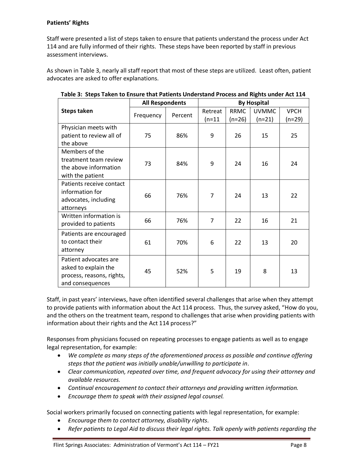#### **Patients' Rights**

Staff were presented a list of steps taken to ensure that patients understand the process under Act 114 and are fully informed of their rights. These steps have been reported by staff in previous assessment interviews.

As shown in Table 3, nearly all staff report that most of these steps are utilized. Least often, patient advocates are asked to offer explanations.

|                           | <b>All Respondents</b> |         | <b>By Hospital</b> |             |              |             |  |
|---------------------------|------------------------|---------|--------------------|-------------|--------------|-------------|--|
| <b>Steps taken</b>        |                        | Percent | Retreat            | <b>RRMC</b> | <b>UVMMC</b> | <b>VPCH</b> |  |
|                           | Frequency              |         | $(n=11)$           | $(n=26)$    | $(n=21)$     | (n=29)      |  |
| Physician meets with      |                        |         |                    |             |              |             |  |
| patient to review all of  | 75                     | 86%     | 9                  | 26          | 15           | 25          |  |
| the above                 |                        |         |                    |             |              |             |  |
| Members of the            |                        |         |                    |             |              |             |  |
| treatment team review     | 73                     | 84%     | 9                  | 24          | 16           | 24          |  |
| the above information     |                        |         |                    |             |              |             |  |
| with the patient          |                        |         |                    |             |              |             |  |
| Patients receive contact  |                        |         |                    |             |              |             |  |
| information for           | 66                     | 76%     | 7                  | 24          | 13           | 22          |  |
| advocates, including      |                        |         |                    |             |              |             |  |
| attorneys                 |                        |         |                    |             |              |             |  |
| Written information is    | 66                     | 76%     | 7                  | 22          | 16           | 21          |  |
| provided to patients      |                        |         |                    |             |              |             |  |
| Patients are encouraged   |                        |         |                    |             |              |             |  |
| to contact their          | 61                     | 70%     | 6                  | 22          | 13           | 20          |  |
| attorney                  |                        |         |                    |             |              |             |  |
| Patient advocates are     |                        |         |                    |             |              |             |  |
| asked to explain the      |                        |         | 5                  | 19          | 8            | 13          |  |
| process, reasons, rights, | 45<br>52%              |         |                    |             |              |             |  |
| and consequences          |                        |         |                    |             |              |             |  |

**Table 3: Steps Taken to Ensure that Patients Understand Process and Rights under Act 114**

Staff, in past years' interviews, have often identified several challenges that arise when they attempt to provide patients with information about the Act 114 process. Thus, the survey asked, "How do you, and the others on the treatment team, respond to challenges that arise when providing patients with information about their rights and the Act 114 process?"

Responses from physicians focused on repeating processes to engage patients as well as to engage legal representation, for example:

- *We complete as many steps of the aforementioned process as possible and continue offering steps that the patient was initially unable/unwilling to participate in.*
- *Clear communication, repeated over time, and frequent advocacy for using their attorney and available resources.*
- *Continual encouragement to contact their attorneys and providing written information.*
- *Encourage them to speak with their assigned legal counsel.*

Social workers primarily focused on connecting patients with legal representation, for example:

- *Encourage them to contact attorney, disability rights.*
- *Refer patients to Legal Aid to discuss their legal rights. Talk openly with patients regarding the*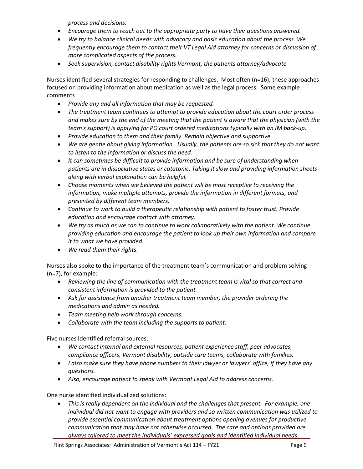*process and decisions.*

- *Encourage them to reach out to the appropriate party to have their questions answered.*
- *We try to balance clinical needs with advocacy and basic education about the process. We frequently encourage them to contact their VT Legal Aid attorney for concerns or discussion of more complicated aspects of the process.*
- *Seek supervision, contact disability rights Vermont, the patients attorney/advocate*

Nurses identified several strategies for responding to challenges. Most often (n=16), these approaches focused on providing information about medication as well as the legal process. Some example comments

- *Provide any and all information that may be requested.*
- *The treatment team continues to attempt to provide education about the court order process and makes sure by the end of the meeting that the patient is aware that the physician (with the team's support) is applying for PO court ordered medications typically with an IM back-up.*
- *Provide education to them and their family. Remain objective and supportive.*
- *We are gentle about giving information. Usually, the patients are so sick that they do not want to listen to the information or discuss the need.*
- *It can sometimes be difficult to provide information and be sure of understanding when patients are in dissociative states or catatonic. Taking it slow and providing information sheets along with verbal explanation can be helpful.*
- *Choose moments when we believed the patient will be most receptive to receiving the information, make multiple attempts, provide the information in different formats, and presented by different team members.*
- *Continue to work to build a therapeutic relationship with patient to foster trust. Provide education and encourage contact with attorney.*
- *We try as much as we can to continue to work collaboratively with the patient. We continue providing education and encourage the patient to look up their own information and compare it to what we have provided.*
- *We read them their rights.*

Nurses also spoke to the importance of the treatment team's communication and problem solving (n=7), for example:

- *Reviewing the line of communication with the treatment team is vital so that correct and consistent information is provided to the patient.*
- *Ask for assistance from another treatment team member, the provider ordering the medications and admin as needed.*
- *Team meeting help work through concerns.*
- *Collaborate with the team including the supports to patient.*

Five nurses identified referral sources:

- *We contact internal and external resources, patient experience staff, peer advocates, compliance officers, Vermont disability, outside care teams, collaborate with families.*
- *I also make sure they have phone numbers to their lawyer or lawyers' office, if they have any questions.*
- *Also, encourage patient to speak with Vermont Legal Aid to address concerns.*

One nurse identified individualized solutions:

• *This is really dependent on the individual and the challenges that present. For example, one individual did not want to engage with providers and so written communication was utilized to provide essential communication about treatment options opening avenues for productive communication that may have not otherwise occurred. The care and options provided are always tailored to meet the individuals' expressed goals and identified individual needs.*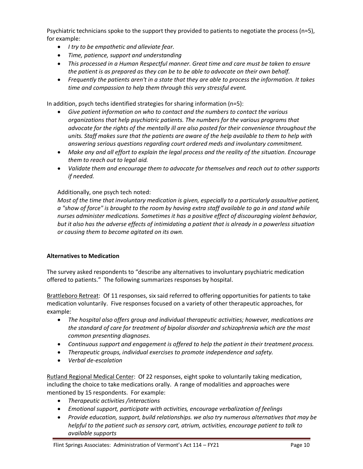Psychiatric technicians spoke to the support they provided to patients to negotiate the process (n=5), for example:

- *I try to be empathetic and alleviate fear.*
- *Time, patience, support and understanding*
- *This processed in a Human Respectful manner. Great time and care must be taken to ensure the patient is as prepared as they can be to be able to advocate on their own behalf.*
- *Frequently the patients aren't in a state that they are able to process the information. It takes time and compassion to help them through this very stressful event.*

In addition, psych techs identified strategies for sharing information (n=5):

- *Give patient information on who to contact and the numbers to contact the various organizations that help psychiatric patients. The numbers for the various programs that advocate for the rights of the mentally ill are also posted for their convenience throughout the units. Staff makes sure that the patients are aware of the help available to them to help with answering serious questions regarding court ordered meds and involuntary commitment.*
- *Make any and all effort to explain the legal process and the reality of the situation. Encourage them to reach out to legal aid.*
- *Validate them and encourage them to advocate for themselves and reach out to other supports if needed.*

#### Additionally, one psych tech noted:

*Most of the time that involuntary medication is given, especially to a particularly assaultive patient, a "show of force" is brought to the room by having extra staff available to go in and stand while nurses administer medications. Sometimes it has a positive effect of discouraging violent behavior, but it also has the adverse effects of intimidating a patient that is already in a powerless situation or causing them to become agitated on its own.*

#### **Alternatives to Medication**

The survey asked respondents to "describe any alternatives to involuntary psychiatric medication offered to patients." The following summarizes responses by hospital.

Brattleboro Retreat: Of 11 responses, six said referred to offering opportunities for patients to take medication voluntarily. Five responses focused on a variety of other therapeutic approaches, for example:

- *The hospital also offers group and individual therapeutic activities; however, medications are the standard of care for treatment of bipolar disorder and schizophrenia which are the most common presenting diagnoses.*
- *Continuous support and engagement is offered to help the patient in their treatment process.*
- *Therapeutic groups, individual exercises to promote independence and safety.*
- *Verbal de-escalation*

Rutland Regional Medical Center: Of 22 responses, eight spoke to voluntarily taking medication, including the choice to take medications orally. A range of modalities and approaches were mentioned by 15 respondents. For example:

- *Therapeutic activities /interactions*
- *Emotional support, participate with activities, encourage verbalization of feelings*
- *Provide education, support, build relationships. we also try numerous alternatives that may be helpful to the patient such as sensory cart, atrium, activities, encourage patient to talk to available supports*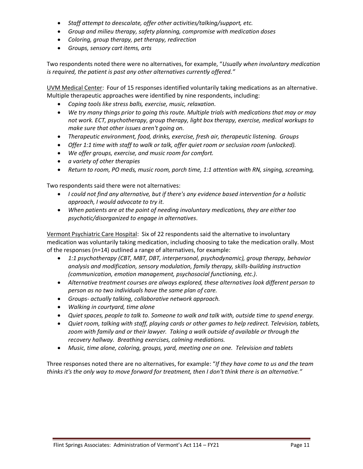- *Staff attempt to deescalate, offer other activities/talking/support, etc.*
- *Group and milieu therapy, safety planning, compromise with medication doses*
- *Coloring, group therapy, pet therapy, redirection*
- *Groups, sensory cart items, arts*

Two respondents noted there were no alternatives, for example, "*Usually when involuntary medication is required, the patient is past any other alternatives currently offered."*

UVM Medical Center: Four of 15 responses identified voluntarily taking medications as an alternative. Multiple therapeutic approaches were identified by nine respondents, including:

- *Coping tools like stress balls, exercise, music, relaxation.*
- *We try many things prior to going this route. Multiple trials with medications that may or may not work. ECT, psychotherapy, group therapy, light box therapy, exercise, medical workups to make sure that other issues aren't going on.*
- *Therapeutic environment, food, drinks, exercise, fresh air, therapeutic listening. Groups*
- *Offer 1:1 time with staff to walk or talk, offer quiet room or seclusion room (unlocked).*
- *We offer groups, exercise, and music room for comfort.*
- *a variety of other therapies*
- *Return to room, PO meds, music room, porch time, 1:1 attention with RN, singing, screaming,*

Two respondents said there were not alternatives:

- *I could not find any alternative, but if there's any evidence based intervention for a holistic approach, I would advocate to try it.*
- *When patients are at the point of needing involuntary medications, they are either too psychotic/disorganized to engage in alternatives.*

Vermont Psychiatric Care Hospital: Six of 22 respondents said the alternative to involuntary medication was voluntarily taking medication, including choosing to take the medication orally. Most of the responses (n=14) outlined a range of alternatives, for example:

- *1:1 psychotherapy (CBT, MBT, DBT, interpersonal, psychodynamic), group therapy, behavior analysis and modification, sensory modulation, family therapy, skills-building instruction (communication, emotion management, psychosocial functioning, etc.).*
- *Alternative treatment courses are always explored, these alternatives look different person to person as no two individuals have the same plan of care.*
- *Groups- actually talking, collaborative network approach.*
- *Walking in courtyard, time alone*
- *Quiet spaces, people to talk to. Someone to walk and talk with, outside time to spend energy.*
- *Quiet room, talking with staff, playing cards or other games to help redirect. Television, tablets, zoom with family and or their lawyer. Taking a walk outside of available or through the recovery hallway. Breathing exercises, calming mediations.*
- *Music, time alone, coloring, groups, yard, meeting one on one. Television and tablets*

Three responses noted there are no alternatives, for example: "*If they have come to us and the team thinks it's the only way to move forward for treatment, then I don't think there is an alternative."*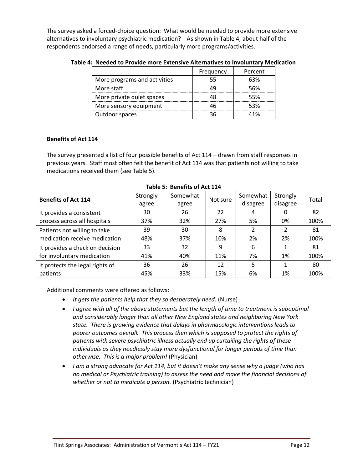The survey asked a forced-choice question: What would be needed to provide more extensive alternatives to involuntary psychiatric medication? As shown in Table 4, about half of the respondents endorsed a range of needs, particularly more programs/activities.

|                              | Frequency | Percent |
|------------------------------|-----------|---------|
| More programs and activities | 55        | 63%     |
| More staff                   | 49        | 56%     |
| More private quiet spaces    | 48        | 55%     |
| More sensory equipment       | 46        | 53%     |
| Outdoor spaces               | 36        | 41%     |

**Table 4: Needed to Provide more Extensive Alternatives to Involuntary Medication**

#### **Benefits of Act 114**

The survey presented a list of four possible benefits of Act 114 – drawn from staff responses in previous years. Staff most often felt the benefit of Act 114 was that patients not willing to take medications received them (see Table 5).

| <b>Benefits of Act 114</b>      | Strongly<br>agree | Somewhat<br>agree | Not sure | Somewhat<br>disagree | Strongly<br>disagree | Total |
|---------------------------------|-------------------|-------------------|----------|----------------------|----------------------|-------|
| It provides a consistent        | 30                | 26                | 22       | 4                    | 0                    | 82    |
| process across all hospitals    | 37%               | 32%               | 27%      | 5%                   | 0%                   | 100%  |
| Patients not willing to take    | 39                | 30                | 8        | 2                    | 2                    | 81    |
| medication receive medication   | 48%               | 37%               | 10%      | 2%                   | 2%                   | 100%  |
| It provides a check on decision | 33                | 32                | 9        | 6                    |                      | 81    |
| for involuntary medication      | 41%               | 40%               | 11%      | 7%                   | 1%                   | 100%  |
| It protects the legal rights of | 36                | 26                | 12       | 5                    |                      | 80    |
| patients                        | 45%               | 33%               | 15%      | 6%                   | 1%                   | 100%  |

**Table 5: Benefits of Act 114**

Additional comments were offered as follows:

- *It gets the patients help that they so desperately need.* (Nurse)
- *I agree with all of the above statements but the length of time to treatment is suboptimal and considerably longer than all other New England states and neighboring New York state. There is growing evidence that delays in pharmacologic interventions leads to poorer outcomes overall. This process then which is supposed to protect the rights of patients with severe psychiatric illness actually end up curtailing the rights of these individuals as they needlessly stay more dysfunctional for longer periods of time than otherwise. This is a major problem!* (Physician)
- *I am a strong advocate for Act 114, but it doesn't make any sense why a judge (who has no medical or Psychiatric training) to assess the need and make the financial decisions of whether or not to medicate a person.* (Psychiatric technician)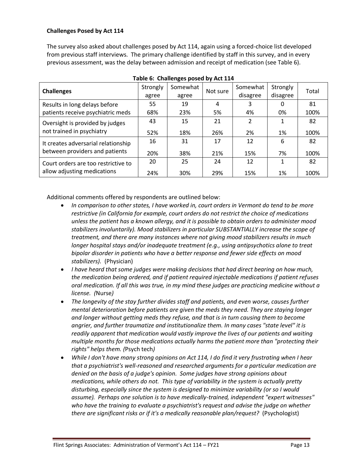#### **Challenges Posed by Act 114**

The survey also asked about challenges posed by Act 114, again using a forced-choice list developed from previous staff interviews. The primary challenge identified by staff in this survey, and in every previous assessment, was the delay between admission and receipt of medication (see Table 6).

| <b>Challenges</b>                   | Strongly | Somewhat | Not sure | Somewhat       | Strongly | Total |  |
|-------------------------------------|----------|----------|----------|----------------|----------|-------|--|
|                                     | agree    | agree    |          | disagree       | disagree |       |  |
| Results in long delays before       | 55       | 19       | 4        | 3              | 0        | 81    |  |
| patients receive psychiatric meds   | 68%      | 23%      | 5%       | 4%             | 0%       | 100%  |  |
| Oversight is provided by judges     | 43       | 15       | 21       | $\mathfrak{p}$ |          | 82    |  |
| not trained in psychiatry           | 52%      | 18%      | 26%      | 2%             | 1%       | 100%  |  |
| It creates adversarial relationship | 16       | 31       | 17       | 12             | 6        | 82    |  |
| between providers and patients      | 20%      | 38%      | 21%      | 15%            | 7%       | 100%  |  |
| Court orders are too restrictive to | 20       | 25       | 24       | 12             |          | 82    |  |
| allow adjusting medications         | 24%      | 30%      | 29%      | 15%            | 1%       | 100%  |  |

#### **Table 6: Challenges posed by Act 114**

Additional comments offered by respondents are outlined below:

- *In comparison to other states, I have worked in, court orders in Vermont do tend to be more restrictive (in California for example, court orders do not restrict the choice of medications unless the patient has a known allergy, and it is possible to obtain orders to administer mood stabilizers involuntarily). Mood stabilizers in particular SUBSTANTIALLY increase the scope of treatment, and there are many instances where not giving mood stabilizers results in much longer hospital stays and/or inadequate treatment (e.g., using antipsychotics alone to treat bipolar disorder in patients who have a better response and fewer side effects on mood stabilizers).* (Physician)
- *I have heard that some judges were making decisions that had direct bearing on how much, the medication being ordered, and if patient required injectable medications if patient refuses oral medication. If all this was true, in my mind these judges are practicing medicine without a license. (*Nurse*)*
- *The longevity of the stay further divides staff and patients, and even worse, causes further mental deterioration before patients are given the meds they need. They are staying longer and longer without getting meds they refuse, and that is in turn causing them to become angrier, and further traumatize and institutionalize them. In many cases "state level" it is readily apparent that medication would vastly improve the lives of our patients and waiting multiple months for those medications actually harms the patient more than "protecting their rights" helps them. (*Psych tech*)*
- *While I don't have many strong opinions on Act 114, I do find it very frustrating when I hear that a psychiatrist's well-reasoned and researched arguments for a particular medication are denied on the basis of a judge's opinion. Some judges have strong opinions about medications, while others do not. This type of variability in the system is actually pretty disturbing, especially since the system is designed to minimize variability (or so I would assume). Perhaps one solution is to have medically-trained, independent "expert witnesses" who have the training to evaluate a psychiatrist's request and advise the judge on whether there are significant risks or if it's a medically reasonable plan/request?* (Psychologist)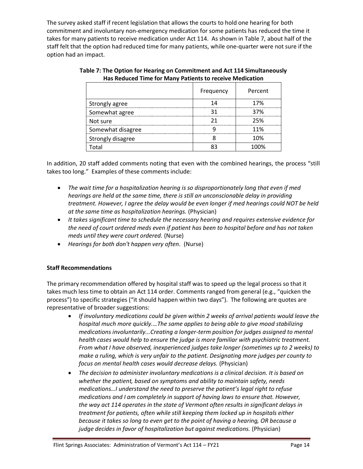The survey asked staff if recent legislation that allows the courts to hold one hearing for both commitment and involuntary non-emergency medication for some patients has reduced the time it takes for many patients to receive medication under Act 114. As shown in Table 7, about half of the staff felt that the option had reduced time for many patients, while one-quarter were not sure if the option had an impact.

|                   | Frequency | Percent |
|-------------------|-----------|---------|
| Strongly agree    | 14        | 17%     |
| Somewhat agree    | 31        | 37%     |
| Not sure          | 21        | 25%     |
| Somewhat disagree |           | 11%     |
| Strongly disagree |           | 10%     |
| Total             | 83        | 100%    |

| Table 7: The Option for Hearing on Commitment and Act 114 Simultaneously |
|--------------------------------------------------------------------------|
| Has Reduced Time for Many Patients to receive Medication                 |

In addition, 20 staff added comments noting that even with the combined hearings, the process "still takes too long." Examples of these comments include:

- *The wait time for a hospitalization hearing is so disproportionately long that even if med hearings are held at the same time, there is still an unconscionable delay in providing treatment. However, I agree the delay would be even longer if med hearings could NOT be held at the same time as hospitalization hearings.* (Physician)
- *It takes significant time to schedule the necessary hearing and requires extensive evidence for the need of court ordered meds even if patient has been to hospital before and has not taken meds until they were court ordered.* (Nurse)
- *Hearings for both don't happen very often.* (Nurse)

#### **Staff Recommendations**

The primary recommendation offered by hospital staff was to speed up the legal process so that it takes much less time to obtain an Act 114 order. Comments ranged from general (e.g., "quicken the process") to specific strategies ("it should happen within two days"). The following are quotes are representative of broader suggestions:

- *If involuntary medications could be given within 2 weeks of arrival patients would leave the hospital much more quickly.…The same applies to being able to give mood stabilizing medications involuntarily...Creating a longer-term position for judges assigned to mental health cases would help to ensure the judge is more familiar with psychiatric treatment. From what I have observed, inexperienced judges take longer (sometimes up to 2 weeks) to make a ruling, which is very unfair to the patient. Designating more judges per county to focus on mental health cases would decrease delays.* (Physician)
- *The decision to administer involuntary medications is a clinical decision. It is based on whether the patient, based on symptoms and ability to maintain safety, needs medications…I understand the need to preserve the patient's legal right to refuse medications and I am completely in support of having laws to ensure that. However, the way act 114 operates in the state of Vermont often results in significant delays in treatment for patients, often while still keeping them locked up in hospitals either because it takes so long to even get to the point of having a hearing, OR because a judge decides in favor of hospitalization but against medications.* (Physician)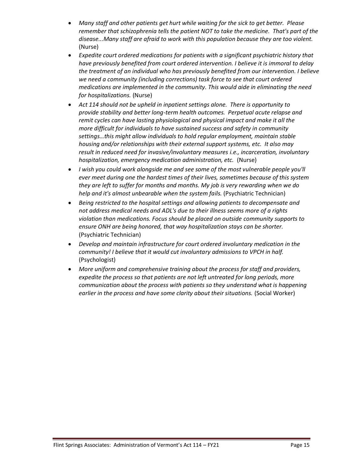- *Many staff and other patients get hurt while waiting for the sick to get better. Please remember that schizophrenia tells the patient NOT to take the medicine. That's part of the disease...Many staff are afraid to work with this population because they are too violent.*  (Nurse)
- *Expedite court ordered medications for patients with a significant psychiatric history that have previously benefited from court ordered intervention. I believe it is immoral to delay the treatment of an individual who has previously benefited from our intervention. I believe we need a community (including corrections) task force to see that court ordered medications are implemented in the community. This would aide in eliminating the need for hospitalizations.* (Nurse)
- *Act 114 should not be upheld in inpatient settings alone. There is opportunity to provide stability and better long-term health outcomes. Perpetual acute relapse and remit cycles can have lasting physiological and physical impact and make it all the more difficult for individuals to have sustained success and safety in community settings…this might allow individuals to hold regular employment, maintain stable housing and/or relationships with their external support systems, etc. It also may result in reduced need for invasive/involuntary measures i.e., incarceration, involuntary hospitalization, emergency medication administration, etc.* (Nurse)
- *I wish you could work alongside me and see some of the most vulnerable people you'll ever meet during one the hardest times of their lives, sometimes because of this system they are left to suffer for months and months. My job is very rewarding when we do help and it's almost unbearable when the system fails.* (Psychiatric Technician)
- *Being restricted to the hospital settings and allowing patients to decompensate and not address medical needs and ADL's due to their illness seems more of a rights violation than medications. Focus should be placed on outside community supports to ensure ONH are being honored, that way hospitalization stays can be shorter.* (Psychiatric Technician)
- *Develop and maintain infrastructure for court ordered involuntary medication in the community! I believe that it would cut involuntary admissions to VPCH in half.* (Psychologist)
- *More uniform and comprehensive training about the process for staff and providers, expedite the process so that patients are not left untreated for long periods, more communication about the process with patients so they understand what is happening earlier in the process and have some clarity about their situations.* (Social Worker)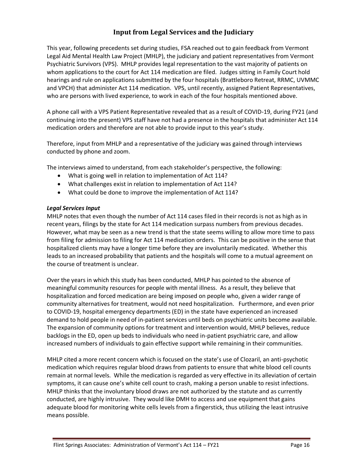# **Input from Legal Services and the Judiciary**

<span id="page-17-0"></span>This year, following precedents set during studies, FSA reached out to gain feedback from Vermont Legal Aid Mental Health Law Project (MHLP), the judiciary and patient representatives from Vermont Psychiatric Survivors (VPS). MHLP provides legal representation to the vast majority of patients on whom applications to the court for Act 114 medication are filed. Judges sitting in Family Court hold hearings and rule on applications submitted by the four hospitals (Brattleboro Retreat, RRMC, UVMMC and VPCH) that administer Act 114 medication. VPS, until recently, assigned Patient Representatives, who are persons with lived experience, to work in each of the four hospitals mentioned above.

A phone call with a VPS Patient Representative revealed that as a result of COVID-19, during FY21 (and continuing into the present) VPS staff have not had a presence in the hospitals that administer Act 114 medication orders and therefore are not able to provide input to this year's study.

Therefore, input from MHLP and a representative of the judiciary was gained through interviews conducted by phone and zoom.

The interviews aimed to understand, from each stakeholder's perspective, the following:

- What is going well in relation to implementation of Act 114?
- What challenges exist in relation to implementation of Act 114?
- What could be done to improve the implementation of Act 114?

#### *Legal Services Input*

MHLP notes that even though the number of Act 114 cases filed in their records is not as high as in recent years, filings by the state for Act 114 medication surpass numbers from previous decades. However, what may be seen as a new trend is that the state seems willing to allow more time to pass from filing for admission to filing for Act 114 medication orders. This can be positive in the sense that hospitalized clients may have a longer time before they are involuntarily medicated. Whether this leads to an increased probability that patients and the hospitals will come to a mutual agreement on the course of treatment is unclear.

Over the years in which this study has been conducted, MHLP has pointed to the absence of meaningful community resources for people with mental illness. As a result, they believe that hospitalization and forced medication are being imposed on people who, given a wider range of community alternatives for treatment, would not need hospitalization. Furthermore, and even prior to COVID-19, hospital emergency departments (ED) in the state have experienced an increased demand to hold people in need of in-patient services until beds on psychiatric units become available. The expansion of community options for treatment and intervention would, MHLP believes, reduce backlogs in the ED, open up beds to individuals who need in-patient psychiatric care, and allow increased numbers of individuals to gain effective support while remaining in their communities.

MHLP cited a more recent concern which is focused on the state's use of Clozaril, an anti-psychotic medication which requires regular blood draws from patients to ensure that white blood cell counts remain at normal levels. While the medication is regarded as very effective in its alleviation of certain symptoms, it can cause one's white cell count to crash, making a person unable to resist infections. MHLP thinks that the involuntary blood draws are not authorized by the statute and as currently conducted, are highly intrusive. They would like DMH to access and use equipment that gains adequate blood for monitoring white cells levels from a fingerstick, thus utilizing the least intrusive means possible.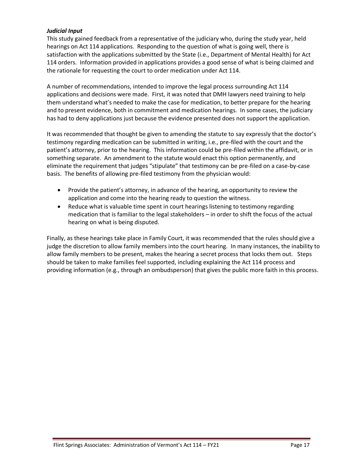#### *Judicial Input*

This study gained feedback from a representative of the judiciary who, during the study year, held hearings on Act 114 applications. Responding to the question of what is going well, there is satisfaction with the applications submitted by the State (i.e., Department of Mental Health) for Act 114 orders. Information provided in applications provides a good sense of what is being claimed and the rationale for requesting the court to order medication under Act 114.

A number of recommendations, intended to improve the legal process surrounding Act 114 applications and decisions were made. First, it was noted that DMH lawyers need training to help them understand what's needed to make the case for medication, to better prepare for the hearing and to present evidence, both in commitment and medication hearings. In some cases, the judiciary has had to deny applications just because the evidence presented does not support the application.

It was recommended that thought be given to amending the statute to say expressly that the doctor's testimony regarding medication can be submitted in writing, i.e., pre-filed with the court and the patient's attorney, prior to the hearing. This information could be pre-filed within the affidavit, or in something separate. An amendment to the statute would enact this option permanently, and eliminate the requirement that judges "stipulate" that testimony can be pre-filed on a case-by-case basis. The benefits of allowing pre-filed testimony from the physician would:

- Provide the patient's attorney, in advance of the hearing, an opportunity to review the application and come into the hearing ready to question the witness.
- Reduce what is valuable time spent in court hearings listening to testimony regarding medication that is familiar to the legal stakeholders – in order to shift the focus of the actual hearing on what is being disputed.

Finally, as these hearings take place in Family Court, it was recommended that the rules should give a judge the discretion to allow family members into the court hearing. In many instances, the inability to allow family members to be present, makes the hearing a secret process that locks them out. Steps should be taken to make families feel supported, including explaining the Act 114 process and providing information (e.g., through an ombudsperson) that gives the public more faith in this process.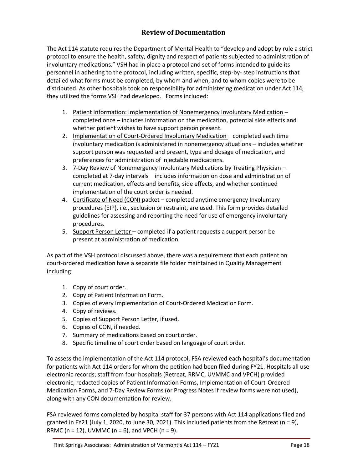# **Review of Documentation**

<span id="page-19-0"></span>The Act 114 statute requires the Department of Mental Health to "develop and adopt by rule a strict protocol to ensure the health, safety, dignity and respect of patients subjected to administration of involuntary medications." VSH had in place a protocol and set of forms intended to guide its personnel in adhering to the protocol, including written, specific, step-by- step instructions that detailed what forms must be completed, by whom and when, and to whom copies were to be distributed. As other hospitals took on responsibility for administering medication under Act 114, they utilized the forms VSH had developed. Forms included:

- 1. Patient Information: Implementation of Nonemergency Involuntary Medication completed once – includes information on the medication, potential side effects and whether patient wishes to have support person present.
- 2. Implementation of Court-Ordered Involuntary Medication completed each time involuntary medication is administered in nonemergency situations – includes whether support person was requested and present, type and dosage of medication, and preferences for administration of injectable medications.
- 3. 7-Day Review of Nonemergency Involuntary Medications by Treating Physician completed at 7-day intervals – includes information on dose and administration of current medication, effects and benefits, side effects, and whether continued implementation of the court order is needed.
- 4. Certificate of Need (CON) packet completed anytime emergency Involuntary procedures (EIP), i.e., seclusion or restraint, are used. This form provides detailed guidelines for assessing and reporting the need for use of emergency involuntary procedures.
- 5. Support Person Letter completed if a patient requests a support person be present at administration of medication.

As part of the VSH protocol discussed above, there was a requirement that each patient on court-ordered medication have a separate file folder maintained in Quality Management including:

- 1. Copy of court order.
- 2. Copy of Patient Information Form.
- 3. Copies of every Implementation of Court-Ordered Medication Form.
- 4. Copy of reviews.
- 5. Copies of Support Person Letter, if used.
- 6. Copies of CON, if needed.
- 7. Summary of medications based on court order.
- 8. Specific timeline of court order based on language of court order.

To assess the implementation of the Act 114 protocol, FSA reviewed each hospital's documentation for patients with Act 114 orders for whom the petition had been filed during FY21. Hospitals all use electronic records; staff from four hospitals (Retreat, RRMC, UVMMC and VPCH) provided electronic, redacted copies of Patient Information Forms, Implementation of Court-Ordered Medication Forms, and 7-Day Review Forms (or Progress Notes if review forms were not used), along with any CON documentation for review.

FSA reviewed forms completed by hospital staff for 37 persons with Act 114 applications filed and granted in FY21 (July 1, 2020, to June 30, 2021). This included patients from the Retreat (n = 9), RRMC ( $n = 12$ ), UVMMC ( $n = 6$ ), and VPCH ( $n = 9$ ).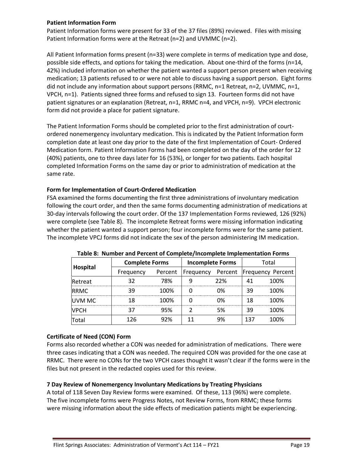#### **Patient Information Form**

Patient Information forms were present for 33 of the 37 files (89%) reviewed. Files with missing Patient Information forms were at the Retreat (n=2) and UVMMC (n=2).

All Patient Information forms present (n=33) were complete in terms of medication type and dose, possible side effects, and options for taking the medication. About one-third of the forms (n=14, 42%) included information on whether the patient wanted a support person present when receiving medication; 13 patients refused to or were not able to discuss having a support person. Eight forms did not include any information about support persons (RRMC, n=1 Retreat, n=2, UVMMC, n=1, VPCH, n=1). Patients signed three forms and refused to sign 13. Fourteen forms did not have patient signatures or an explanation (Retreat, n=1, RRMC n=4, and VPCH, n=9). VPCH electronic form did not provide a place for patient signature.

The Patient Information Forms should be completed prior to the first administration of courtordered nonemergency involuntary medication. This is indicated by the Patient Information form completion date at least one day prior to the date of the first Implementation of Court- Ordered Medication form. Patient Information Forms had been completed on the day of the order for 12 (40%) patients, one to three days later for 16 (53%), or longer for two patients. Each hospital completed Information Forms on the same day or prior to administration of medication at the same rate.

#### **Form for Implementation of Court-Ordered Medication**

FSA examined the forms documenting the first three administrations of involuntary medication following the court order, and then the same forms documenting administration of medications at 30-day intervals following the court order. Of the 137 Implementation Forms reviewed, 126 (92%) were complete (see Table 8). The incomplete Retreat forms were missing information indicating whether the patient wanted a support person; four incomplete forms were for the same patient. The incomplete VPCJ forms did not indicate the sex of the person administering IM medication.

| Hospital      | <b>Complete Forms</b> |         | <b>Incomplete Forms</b> |     | Total |                           |  |
|---------------|-----------------------|---------|-------------------------|-----|-------|---------------------------|--|
|               | Frequency             | Percent | <b>Frequency</b>        |     |       | Percent Frequency Percent |  |
| Retreat       |                       | 78%     |                         | 22% |       | 100%                      |  |
| <b>IRRMC</b>  |                       | 100%    |                         | በ%  | 39    | 100%                      |  |
| <b>UVM MC</b> |                       | 100%    |                         | በ%  | 18    | 100%                      |  |
| <b>VPCH</b>   |                       | 95%     |                         | 5%  | 39    | 100%                      |  |
|               | 176                   | 97%     |                         |     |       | 1በበ%                      |  |

**Table 8: Number and Percent of Complete/Incomplete Implementation Forms**

#### **Certificate of Need (CON) Form**

Forms also recorded whether a CON was needed for administration of medications. There were three cases indicating that a CON was needed. The required CON was provided for the one case at RRMC. There were no CONs for the two VPCH cases thought it wasn't clear if the forms were in the files but not present in the redacted copies used for this review.

#### **7 Day Review of Nonemergency Involuntary Medications by Treating Physicians**

A total of 118 Seven Day Review forms were examined. Of these, 113 (96%) were complete. The five incomplete forms were Progress Notes, not Review Forms, from RRMC; these forms were missing information about the side effects of medication patients might be experiencing.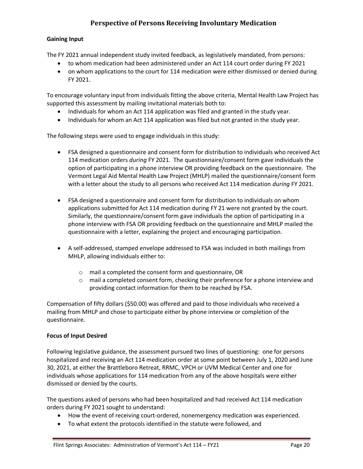# **Perspective of Persons Receiving Involuntary Medication**

#### <span id="page-21-0"></span>**Gaining Input**

The FY 2021 annual independent study invited feedback, as legislatively mandated, from persons:

- to whom medication had been administered under an Act 114 court order during FY 2021
- on whom applications to the court for 114 medication were either dismissed or denied during FY 2021.

To encourage voluntary input from individuals fitting the above criteria, Mental Health Law Project has supported this assessment by mailing invitational materials both to:

- Individuals for whom an Act 114 application was filed and granted in the study year.
- Individuals for whom an Act 114 application was filed but not granted in the study year.

The following steps were used to engage individuals in this study:

- FSA designed a questionnaire and consent form for distribution to individuals who received Act 114 medication orders *during* FY 2021. The questionnaire/consent form gave individuals the option of participating in a phone interview OR providing feedback on the questionnaire. The Vermont Legal Aid Mental Health Law Project (MHLP) mailed the questionnaire/consent form with a letter about the study to all persons who received Act 114 medication *during* FY 2021.
- FSA designed a questionnaire and consent form for distribution to individuals on whom applications submitted for Act 114 medication during FY 21 were not granted by the court. Similarly, the questionnaire/consent form gave individuals the option of participating in a phone interview with FSA OR providing feedback on the questionnaire and MHLP mailed the questionnaire with a letter, explaining the project and encouraging participation.
- A self-addressed, stamped envelope addressed to FSA was included in both mailings from MHLP, allowing individuals either to:
	- o mail a completed the consent form and questionnaire, OR
	- $\circ$  mail a completed consent form, checking their preference for a phone interview and providing contact information for them to be reached by FSA.

Compensation of fifty dollars (\$50.00) was offered and paid to those individuals who received a mailing from MHLP and chose to participate either by phone interview or completion of the questionnaire.

#### **Focus of Input Desired**

Following legislative guidance, the assessment pursued two lines of questioning: one for persons hospitalized and receiving an Act 114 medication order at some point between July 1, 2020 and June 30, 2021, at either the Brattleboro Retreat, RRMC, VPCH or UVM Medical Center and one for individuals whose applications for 114 medication from any of the above hospitals were either dismissed or denied by the courts.

The questions asked of persons who had been hospitalized and had received Act 114 medication orders during FY 2021 sought to understand:

- How the event of receiving court-ordered, nonemergency medication was experienced.
- To what extent the protocols identified in the statute were followed, and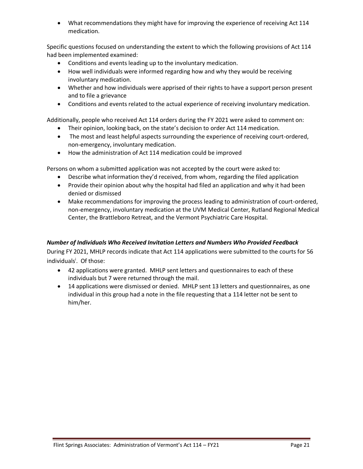• What recommendations they might have for improving the experience of receiving Act 114 medication.

Specific questions focused on understanding the extent to which the following provisions of Act 114 had been implemented examined:

- Conditions and events leading up to the involuntary medication.
- How well individuals were informed regarding how and why they would be receiving involuntary medication.
- Whether and how individuals were apprised of their rights to have a support person present and to file a grievance
- Conditions and events related to the actual experience of receiving involuntary medication.

Additionally, people who received Act 114 orders during the FY 2021 were asked to comment on:

- Their opinion, looking back, on the state's decision to order Act 114 medication.
- The most and least helpful aspects surrounding the experience of receiving court-ordered, non-emergency, involuntary medication.
- How the administration of Act 114 medication could be improved

Persons on whom a submitted application was not accepted by the court were asked to:

- Describe what information they'd received, from whom, regarding the filed application
- Provide their opinion about why the hospital had filed an application and why it had been denied or dismissed
- Make recommendations for improving the process leading to administration of court-ordered, non-emergency, involuntary medication at the UVM Medical Center, Rutland Regional Medical Center, the Brattleboro Retreat, and the Vermont Psychiatric Care Hospital.

#### *Number of Individuals Who Received Invitation Letters and Numbers Who Provided Feedback*

During FY 2021, MHLP records indicate that Act 114 applications were submitted to the courts for 56 individuals<sup>i</sup>. Of those:

- 42 applications were granted. MHLP sent letters and questionnaires to each of these individuals but 7 were returned through the mail.
- 14 applications were dismissed or denied. MHLP sent 13 letters and questionnaires, as one individual in this group had a note in the file requesting that a 114 letter not be sent to him/her.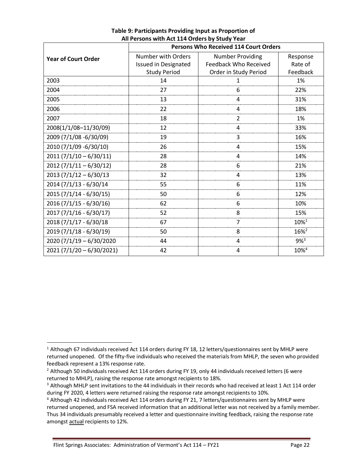|                            | <b>Persons Who Received 114 Court Orders</b> |                              |                     |  |  |  |  |  |
|----------------------------|----------------------------------------------|------------------------------|---------------------|--|--|--|--|--|
| <b>Year of Court Order</b> | Number with Orders                           | <b>Number Providing</b>      | Response            |  |  |  |  |  |
|                            | <b>Issued in Designated</b>                  | <b>Feedback Who Received</b> | Rate of             |  |  |  |  |  |
|                            | <b>Study Period</b>                          | Order in Study Period        | Feedback            |  |  |  |  |  |
| 2003                       | 14                                           |                              | 1%                  |  |  |  |  |  |
| 2004                       | 27                                           | 6                            | 22%                 |  |  |  |  |  |
| 2005                       | 13                                           | 4                            | 31%                 |  |  |  |  |  |
| 2006                       | 22                                           | 4                            | 18%                 |  |  |  |  |  |
| 2007                       | 18                                           | 2                            | 1%                  |  |  |  |  |  |
| 2008(1/1/08-11/30/09)      | 12                                           | 4                            | 33%                 |  |  |  |  |  |
| 2009 (7/1/08 -6/30/09)     | 19                                           | 3                            | 16%                 |  |  |  |  |  |
| 2010 (7/1/09 -6/30/10)     | 26                                           | 4                            | 15%                 |  |  |  |  |  |
| $2011 (7/1/10 - 6/30/11)$  | 28                                           | 4                            | 14%                 |  |  |  |  |  |
| $2012(7/1/11-6/30/12)$     | 28                                           | 6                            | 21%                 |  |  |  |  |  |
| $2013 (7/1/12 - 6/30/13)$  | 32                                           | 4                            | 13%                 |  |  |  |  |  |
| 2014 (7/1/13 - 6/30/14     | 55                                           | 6                            | 11%                 |  |  |  |  |  |
| 2015 (7/1/14 - 6/30/15)    | 50                                           | 6                            | 12%                 |  |  |  |  |  |
| 2016 (7/1/15 - 6/30/16)    | 62                                           | 6                            | 10%                 |  |  |  |  |  |
| $2017(7/1/16 - 6/30/17)$   | 52                                           | 8                            | 15%                 |  |  |  |  |  |
| 2018 (7/1/17 - 6/30/18     | 67                                           | 7                            | $10\%$ <sup>1</sup> |  |  |  |  |  |
| 2019 (7/1/18 - 6/30/19)    | 50                                           | 8                            | 16% <sup>2</sup>    |  |  |  |  |  |
| 2020 (7/1/19 - 6/30/2020   | 44                                           |                              | $9%^{3}$            |  |  |  |  |  |
| $2021(7/1/20 - 6/30/2021)$ | 42                                           | 4                            | 10% <sup>4</sup>    |  |  |  |  |  |

### **Table 9: Participants Providing Input as Proportion of All Persons with Act 114 Orders by Study Year**

 $1$  Although 67 individuals received Act 114 orders during FY 18, 12 letters/questionnaires sent by MHLP were returned unopened. Of the fifty-five individuals who received the materials from MHLP, the seven who provided feedback represent a 13% response rate.

<sup>&</sup>lt;sup>2</sup> Although 50 individuals received Act 114 orders during FY 19, only 44 individuals received letters (6 were returned to MHLP), raising the response rate amongst recipients to 18%.

<sup>&</sup>lt;sup>3</sup> Although MHLP sent invitations to the 44 individuals in their records who had received at least 1 Act 114 order during FY 2020, 4 letters were returned raising the response rate amongst recipients to 10%.

<sup>4</sup> Although 42 individuals received Act 114 orders during FY 21, 7 letters/questionnaires sent by MHLP were returned unopened, and FSA received information that an additional letter was not received by a family member. Thus 34 individuals presumably received a letter and questionnaire inviting feedback, raising the response rate amongst actual recipients to 12%.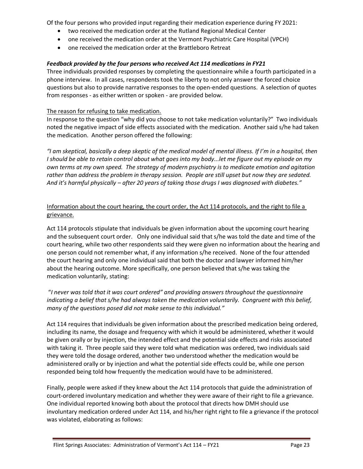Of the four persons who provided input regarding their medication experience during FY 2021:

- two received the medication order at the Rutland Regional Medical Center
- one received the medication order at the Vermont Psychiatric Care Hospital (VPCH)
- one received the medication order at the Brattleboro Retreat

#### *Feedback provided by the four persons who received Act 114 medications in FY21*

Three individuals provided responses by completing the questionnaire while a fourth participated in a phone interview. In all cases, respondents took the liberty to not only answer the forced choice questions but also to provide narrative responses to the open-ended questions. A selection of quotes from responses - as either written or spoken - are provided below.

#### The reason for refusing to take medication.

In response to the question "why did you choose to not take medication voluntarily?" Two individuals noted the negative impact of side effects associated with the medication. Another said s/he had taken the medication. Another person offered the following:

*"I am skeptical, basically a deep skeptic of the medical model of mental illness. If I'm in a hospital, then I should be able to retain control about what goes into my body...let me figure out my episode on my own terms at my own speed. The strategy of modern psychiatry is to medicate emotion and agitation rather than address the problem in therapy session. People are still upset but now they are sedated. And it's harmful physically – after 20 years of taking those drugs I was diagnosed with diabetes."*

#### Information about the court hearing, the court order, the Act 114 protocols, and the right to file a grievance.

Act 114 protocols stipulate that individuals be given information about the upcoming court hearing and the subsequent court order. Only one individual said that s/he was told the date and time of the court hearing, while two other respondents said they were given no information about the hearing and one person could not remember what, if any information s/he received. None of the four attended the court hearing and only one individual said that both the doctor and lawyer informed him/her about the hearing outcome. More specifically, one person believed that s/he was taking the medication voluntarily, stating:

#### "*I never was told that it was court ordered" and providing answers throughout the questionnaire indicating a belief that s/he had always taken the medication voluntarily. Congruent with this belief, many of the questions posed did not make sense to this individual."*

Act 114 requires that individuals be given information about the prescribed medication being ordered, including its name, the dosage and frequency with which it would be administered, whether it would be given orally or by injection, the intended effect and the potential side effects and risks associated with taking it. Three people said they were told what medication was ordered, two individuals said they were told the dosage ordered, another two understood whether the medication would be administered orally or by injection and what the potential side effects could be, while one person responded being told how frequently the medication would have to be administered.

Finally, people were asked if they knew about the Act 114 protocols that guide the administration of court-ordered involuntary medication and whether they were aware of their right to file a grievance. One individual reported knowing both about the protocol that directs how DMH should use involuntary medication ordered under Act 114, and his/her right right to file a grievance if the protocol was violated, elaborating as follows: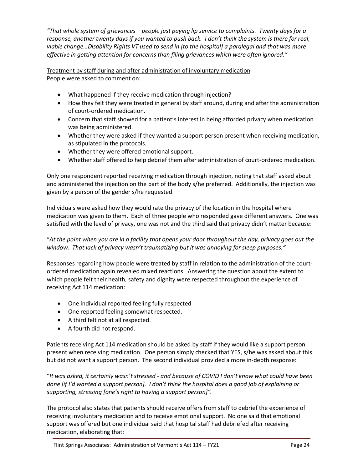*"That whole system of grievances – people just paying lip service to complaints. Twenty days for a response, another twenty days if you wanted to push back. I don't think the system is there for real, viable change…Disability Rights VT used to send in [to the hospital] a paralegal and that was more effective in getting attention for concerns than filing grievances which were often ignored."*

Treatment by staff during and after administration of involuntary medication People were asked to comment on:

- What happened if they receive medication through injection?
- How they felt they were treated in general by staff around, during and after the administration of court-ordered medication.
- Concern that staff showed for a patient's interest in being afforded privacy when medication was being administered.
- Whether they were asked if they wanted a support person present when receiving medication, as stipulated in the protocols.
- Whether they were offered emotional support.
- Whether staff offered to help debrief them after administration of court-ordered medication.

Only one respondent reported receiving medication through injection, noting that staff asked about and administered the injection on the part of the body s/he preferred. Additionally, the injection was given by a person of the gender s/he requested.

Individuals were asked how they would rate the privacy of the location in the hospital where medication was given to them. Each of three people who responded gave different answers. One was satisfied with the level of privacy, one was not and the third said that privacy didn't matter because:

"*At the point when you are in a facility that opens your door throughout the day, privacy goes out the window. That lack of privacy wasn't traumatizing but it was annoying for sleep purposes."*

Responses regarding how people were treated by staff in relation to the administration of the courtordered medication again revealed mixed reactions. Answering the question about the extent to which people felt their health, safety and dignity were respected throughout the experience of receiving Act 114 medication:

- One individual reported feeling fully respected
- One reported feeling somewhat respected.
- A third felt not at all respected.
- A fourth did not respond.

Patients receiving Act 114 medication should be asked by staff if they would like a support person present when receiving medication. One person simply checked that YES, s/he was asked about this but did not want a support person. The second individual provided a more in-depth response:

"*It was asked, it certainly wasn't stressed - and because of COVID I don't know what could have been done [if I'd wanted a support person]. I don't think the hospital does a good job of explaining or supporting, stressing [one's right to having a support person]".*

The protocol also states that patients should receive offers from staff to debrief the experience of receiving involuntary medication and to receive emotional support. No one said that emotional support was offered but one individual said that hospital staff had debriefed after receiving medication, elaborating that: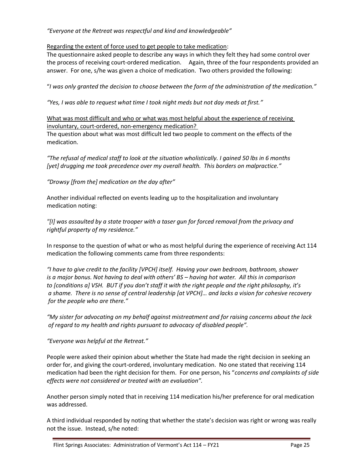*"Everyone at the Retreat was respectful and kind and knowledgeable"*

Regarding the extent of force used to get people to take medication:

The questionnaire asked people to describe any ways in which they felt they had some control over the process of receiving court-ordered medication. Again, three of the four respondents provided an answer. For one, s/he was given a choice of medication. Two others provided the following:

"*I was only granted the decision to choose between the form of the administration of the medication."*

*"Yes, I was able to request what time I took night meds but not day meds at first."*

What was most difficult and who or what was most helpful about the experience of receiving involuntary, court-ordered, non-emergency medication?

The question about what was most difficult led two people to comment on the effects of the medication.

*"The refusal of medical staff to look at the situation wholistically. I gained 50 lbs in 6 months [yet] drugging me took precedence over my overall health. This borders on malpractice."*

*"Drowsy [from the] medication on the day after"*

Another individual reflected on events leading up to the hospitalization and involuntary medication noting:

*"[I] was assaulted by a state trooper with a taser gun for forced removal from the privacy and rightful property of my residence."*

In response to the question of what or who as most helpful during the experience of receiving Act 114 medication the following comments came from three respondents:

*"I have to give credit to the facility [VPCH] itself. Having your own bedroom, bathroom, shower is a major bonus. Not having to deal with others' BS – having hot water. All this in comparison to [conditions a] VSH. BUT if you don't staff it with the right people and the right philosophy, it's a shame. There is no sense of central leadership [at VPCH]… and lacks a vision for cohesive recovery for the people who are there."*

*"My sister for advocating on my behalf against mistreatment and for raising concerns about the lack of regard to my health and rights pursuant to advocacy of disabled people".*

*"Everyone was helpful at the Retreat."*

People were asked their opinion about whether the State had made the right decision in seeking an order for, and giving the court-ordered, involuntary medication. No one stated that receiving 114 medication had been the right decision for them. For one person, his "*concerns and complaints of side effects were not considered or treated with an evaluation".*

Another person simply noted that in receiving 114 medication his/her preference for oral medication was addressed.

A third individual responded by noting that whether the state's decision was right or wrong was really not the issue. Instead, s/he noted: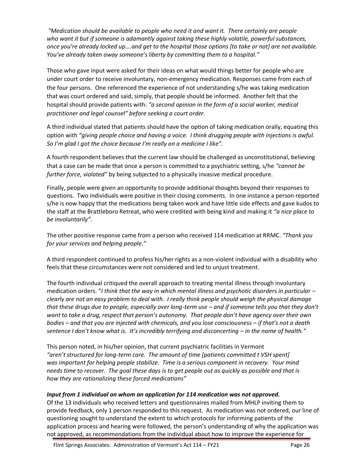*"Medication should be available to people who need it and want it. There certainly are people who want it but if someone is adamantly against taking these highly volatile, powerful substances, once you're already locked up….and get to the hospital those options [to take or not] are not available. You've already taken away someone's liberty by committing them to a hospital."* 

Those who gave input were asked for their ideas on what would things better for people who are under court order to receive involuntary, non-emergency medication. Responses came from each of the four persons. One referenced the experience of not understanding s/he was taking medication that was court ordered and said, simply, that people should be informed. Another felt that the hospital should provide patients with: *"a second opinion in the form of a social worker, medical practitioner and legal counsel" before seeking a court order.*

A third individual stated that patients should have the option of taking medication orally, equating this option with *"giving people choice and having a voice. I think drugging people with injections is awful. So I'm glad I got the choice because I'm really on a medicine I like".*

A fourth respondent believes that the current law should be challenged as unconstitutional, believing that a case can be made that once a person is committed to a psychiatric setting, s/he *"cannot be further force, violated"* by being subjected to a physically invasive medical procedure.

Finally, people were given an opportunity to provide additional thoughts beyond their responses to questions. Two individuals were positive in their closing comments. In one instance a person reported s/he is now happy that the medications being taken work and have little side effects and gave kudos to the staff at the Brattleboro Retreat, who were credited with being kind and making it *"a nice place to be involuntarily"*.

The other positive response came from a person who received 114 medication at RRMC. *"Thank you for your services and helping people."*

A third respondent continued to profess his/her rights as a non-violent individual with a disability who feels that these circumstances were not considered and led to unjust treatment.

The fourth individual critiqued the overall approach to treating mental illness through involuntary medication orders. "*I think that the way in which mental illness and psychotic disorders in particular – clearly are not an easy problem to deal with. I really think people should weigh the physical damage that these drugs due to people, especially over long-term use – and if someone tells you that they don't want to take a drug, respect that person's autonomy. That people don't have agency over their own bodies – and that you are injected with chemicals, and you lose consciousness – if that's not a death sentence I don't know what is. It's incredibly terrifying and disconcerting – in the name of health."*

This person noted, in his/her opinion, that current psychiatric facilities in Vermont *"aren't structured for long-term care. The amount of time [patients committed t VSH spent] was important for helping people stabilize. Time is a serious component in recovery. Your mind needs time to recover. The goal these days is to get people out as quickly as possible and that is how they are rationalizing these forced medications"*

# *Input from 1 individual on whom an application for 114 medication was not approved.*

Of the 13 individuals who received letters and questionnaires mailed from MHLP inviting them to provide feedback, only 1 person responded to this request. As medication was not ordered, our line of questioning sought to understand the extent to which protocols for informing patients of the application process and hearing were followed, the person's understanding of why the application was not approved, as recommendations from the individual about how to improve the experience for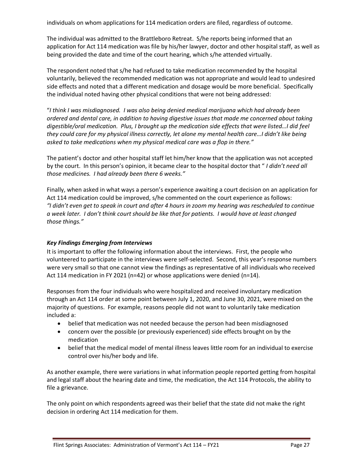individuals on whom applications for 114 medication orders are filed, regardless of outcome.

The individual was admitted to the Brattleboro Retreat. S/he reports being informed that an application for Act 114 medication was file by his/her lawyer, doctor and other hospital staff, as well as being provided the date and time of the court hearing, which s/he attended virtually.

The respondent noted that s/he had refused to take medication recommended by the hospital voluntarily, believed the recommended medication was not appropriate and would lead to undesired side effects and noted that a different medication and dosage would be more beneficial. Specifically the individual noted having other physical conditions that were not being addressed:

"*I think I was misdiagnosed. I was also being denied medical marijuana which had already been ordered and dental care, in addition to having digestive issues that made me concerned about taking digestible/oral medication. Plus, I brought up the medication side effects that were listed…I did feel they could care for my physical illness correctly, let alone my mental health care…I didn't like being asked to take medications when my physical medical care was a flop in there."*

The patient's doctor and other hospital staff let him/her know that the application was not accepted by the court. In this person's opinion, it became clear to the hospital doctor that " *I didn't need all those medicines. I had already been there 6 weeks."*

Finally, when asked in what ways a person's experience awaiting a court decision on an application for Act 114 medication could be improved, s/he commented on the court experience as follows: *"I didn't even get to speak in court and after 4 hours in zoom my hearing was rescheduled to continue a week later. I don't think court should be like that for patients. I would have at least changed those things."*

#### *Key Findings Emerging from Interviews*

It is important to offer the following information about the interviews. First, the people who volunteered to participate in the interviews were self-selected. Second, this year's response numbers were very small so that one cannot view the findings as representative of all individuals who received Act 114 medication in FY 2021 (n=42) or whose applications were denied (n=14).

Responses from the four individuals who were hospitalized and received involuntary medication through an Act 114 order at some point between July 1, 2020, and June 30, 2021, were mixed on the majority of questions. For example, reasons people did not want to voluntarily take medication included a:

- belief that medication was not needed because the person had been misdiagnosed
- concern over the possible (or previously experienced) side effects brought on by the medication
- belief that the medical model of mental illness leaves little room for an individual to exercise control over his/her body and life.

As another example, there were variations in what information people reported getting from hospital and legal staff about the hearing date and time, the medication, the Act 114 Protocols, the ability to file a grievance.

The only point on which respondents agreed was their belief that the state did not make the right decision in ordering Act 114 medication for them.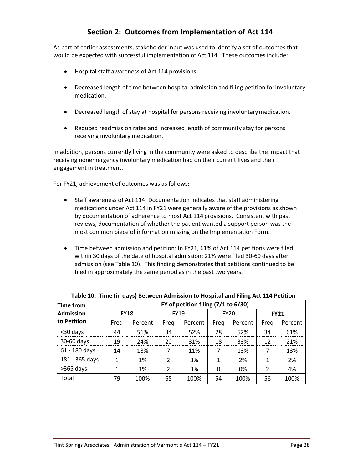# **Section 2: Outcomes from Implementation of Act 114**

<span id="page-29-0"></span>As part of earlier assessments, stakeholder input was used to identify a set of outcomes that would be expected with successful implementation of Act 114. These outcomes include:

- Hospital staff awareness of Act 114 provisions.
- Decreased length of time between hospital admission and filing petition forinvoluntary medication.
- Decreased length of stay at hospital for persons receiving involuntarymedication.
- Reduced readmission rates and increased length of community stay for persons receiving involuntary medication.

In addition, persons currently living in the community were asked to describe the impact that receiving nonemergency involuntary medication had on their current lives and their engagement in treatment.

For FY21, achievement of outcomes was as follows:

- Staff awareness of Act 114: Documentation indicates that staff administering medications under Act 114 in FY21 were generally aware of the provisions as shown by documentation of adherence to most Act 114 provisions. Consistent with past reviews, documentation of whether the patient wanted a support person was the most common piece of information missing on the Implementation Form.
- Time between admission and petition: In FY21, 61% of Act 114 petitions were filed within 30 days of the date of hospital admission; 21% were filed 30-60 days after admission (see Table 10). This finding demonstrates that petitions continued to be filed in approximately the same period as in the past two years.

| Time from        | . .<br>FY of petition filing (7/1 to 6/30) |         |             |         |             |         |             |         |  |  |
|------------------|--------------------------------------------|---------|-------------|---------|-------------|---------|-------------|---------|--|--|
| <b>Admission</b> | <b>FY18</b>                                |         | <b>FY19</b> |         | <b>FY20</b> |         | <b>FY21</b> |         |  |  |
| to Petition      | Freg                                       | Percent | Freg        | Percent | Freg        | Percent | Freg        | Percent |  |  |
| <30 days         | 44                                         | 56%     | 34          | 52%     | 28          | 52%     | 34          | 61%     |  |  |
| 30-60 days       | 19                                         | 24%     | 20          | 31%     | 18          | 33%     | 12          | 21%     |  |  |
| 61 - 180 days    | 14                                         | 18%     |             | 11%     |             | 13%     |             | 13%     |  |  |
| 181 - 365 days   |                                            | 1%      | ำ           | 3%      |             | 2%      |             | 2%      |  |  |
| $>365$ days      |                                            | 1%      | ำ           | 3%      | 0           | 0%      | າ           | 4%      |  |  |
| Total            | 79                                         | 100%    | 65          | 100%    | 54          | 100%    | 56          | 100%    |  |  |

**Table 10: Time (in days) Between Admission to Hospital and Filing Act 114 Petition**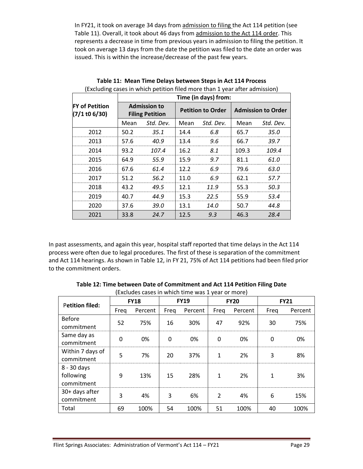In FY21, it took on average 34 days from admission to filing the Act 114 petition (see Table 11). Overall, it took about 46 days from admission to the Act 114 order. This represents a decrease in time from previous years in admission to filing the petition. It took on average 13 days from the date the petition was filed to the date an order was issued. This is within the increase/decrease of the past few years.

|                                        | Time (in days) from: |                                               |      |                          |                           |           |  |  |  |
|----------------------------------------|----------------------|-----------------------------------------------|------|--------------------------|---------------------------|-----------|--|--|--|
| <b>FY of Petition</b><br>(7/1 t0 6/30) |                      | <b>Admission to</b><br><b>Filing Petition</b> |      | <b>Petition to Order</b> | <b>Admission to Order</b> |           |  |  |  |
|                                        | Mean                 | Std. Dev.                                     | Mean | Std. Dev.                | Mean                      | Std. Dev. |  |  |  |
| 2012                                   | 50.2                 | 35.1                                          | 14.4 | 6.8                      | 65.7                      | 35.0      |  |  |  |
| 2013                                   | 57.6                 | 40.9                                          | 13.4 | 9.6                      | 66.7                      | 39.7      |  |  |  |
| 2014                                   | 93.2                 | 107.4                                         | 16.2 | 8.1                      | 109.3                     | 109.4     |  |  |  |
| 2015                                   | 64.9                 | 55.9                                          | 15.9 | 9.7                      | 81.1                      | 61.0      |  |  |  |
| 2016                                   | 67.6                 | 61.4                                          | 12.2 | 6.9                      | 79.6                      | 63.0      |  |  |  |
| 2017                                   | 51.2                 | 56.2                                          | 11.0 | 6.9                      | 62.1                      | 57.7      |  |  |  |
| 2018                                   | 43.2                 | 49.5                                          | 12.1 | 11.9                     | 55.3                      | 50.3      |  |  |  |
| 2019                                   | 40.7                 | 44.9                                          | 15.3 | 22.5                     | 55.9                      | 53.4      |  |  |  |
| 2020                                   | 37.6                 | 39.O                                          | 13.1 | 14.0                     | 50.7                      | 44.8      |  |  |  |
| 2021                                   | 33.8                 | 24.7                                          | 12.5 | 9.3                      | 46.3                      | 28.4      |  |  |  |

**Table 11: Mean Time Delays between Steps in Act 114 Process** (Excluding cases in which petition filed more than 1 year after admission)

In past assessments, and again this year, hospital staff reported that time delays in the Act 114 process were often due to legal procedures. The first of these is separation of the commitment and Act 114 hearings. As shown in Table 12, in FY 21, 75% of Act 114 petitions had been filed prior to the commitment orders.

|                                        | $\frac{1}{2}$ |         |             |         |                |         |              |         |
|----------------------------------------|---------------|---------|-------------|---------|----------------|---------|--------------|---------|
| <b>Petition filed:</b>                 | <b>FY18</b>   |         | <b>FY19</b> |         | <b>FY20</b>    |         | <b>FY21</b>  |         |
|                                        | Freg          | Percent | Freq        | Percent | Freq           | Percent | Freq         | Percent |
| <b>Before</b><br>commitment            | 52            | 75%     | 16          | 30%     | 47             | 92%     | 30           | 75%     |
| Same day as<br>commitment              | $\mathbf 0$   | 0%      | 0           | 0%      | 0              | 0%      | $\mathbf{0}$ | 0%      |
| Within 7 days of<br>commitment         | 5             | 7%      | 20          | 37%     | $\mathbf{1}$   | 2%      | 3            | 8%      |
| 8 - 30 days<br>following<br>commitment | 9             | 13%     | 15          | 28%     | $\mathbf{1}$   | 2%      | $\mathbf{1}$ | 3%      |
| 30+ days after<br>commitment           | 3             | 4%      | 3           | 6%      | $\mathfrak{p}$ | 4%      | 6            | 15%     |
| Total                                  | 69            | 100%    | 54          | 100%    | 51             | 100%    | 40           | 100%    |

**Table 12: Time between Date of Commitment and Act 114 Petition Filing Date** (Excludes cases in which time was 1 year or more)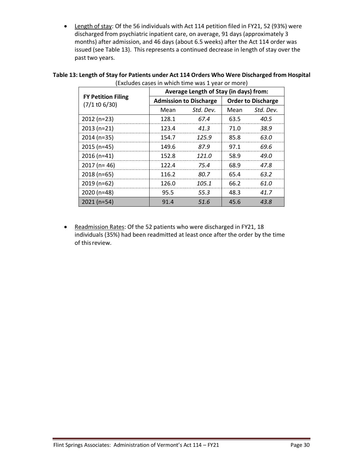• Length of stay: Of the 56 individuals with Act 114 petition filed in FY21, 52 (93%) were discharged from psychiatric inpatient care, on average, 91 days (approximately 3 months) after admission, and 46 days (about 6.5 weeks) after the Act 114 order was issued (see Table 13). This represents a continued decrease in length of stay over the past two years.

|                                              | Average Length of Stay (in days) from: |                               |                           |           |  |  |  |  |
|----------------------------------------------|----------------------------------------|-------------------------------|---------------------------|-----------|--|--|--|--|
| <b>FY Petition Filing</b><br>$(7/1$ to 6/30) |                                        | <b>Admission to Discharge</b> | <b>Order to Discharge</b> |           |  |  |  |  |
|                                              | Mean                                   | Std. Dev.                     | Mean                      | Std. Dev. |  |  |  |  |
| $2012(n=23)$                                 | 128.1                                  | 67.4                          | 63.5                      | 40.5      |  |  |  |  |
| $2013(n=21)$                                 | 123.4                                  | 41.3                          | 71.0                      | 38.9      |  |  |  |  |
| $2014(n=35)$                                 | 154.7                                  | 125.9                         | 85.8                      | 63.0      |  |  |  |  |
| $2015$ (n=45)                                | 149.6                                  | 87.9                          | 97.1                      | 69.6      |  |  |  |  |
| $2016(n=41)$                                 | 152.8                                  | 121.O                         | 58.9                      | 49.N      |  |  |  |  |
| $2017$ (n= 46)                               | 122.4                                  | 75.4                          | 68.9                      | 47.8      |  |  |  |  |
| $2018(n=65)$                                 | 116.2                                  | 80.7                          | 65.4                      | 63.2      |  |  |  |  |
| 2019 (n=62)                                  | 126.0                                  | 105.1                         | 66.2                      | 61.N      |  |  |  |  |
| 2020 (n=48)                                  | 95.5                                   | 55.3                          | 48.3                      | 41.7      |  |  |  |  |
| $2021(n=54)$                                 | 91.4                                   | 51.6                          | 45.6                      | 43.8      |  |  |  |  |

#### **Table 13: Length of Stay for Patients under Act 114 Orders Who Were Discharged from Hospital** (Excludes cases in which time was 1 year or more)

• Readmission Rates: Of the 52 patients who were discharged in FY21, 18 individuals (35%) had been readmitted at least once after the order by the time of this review.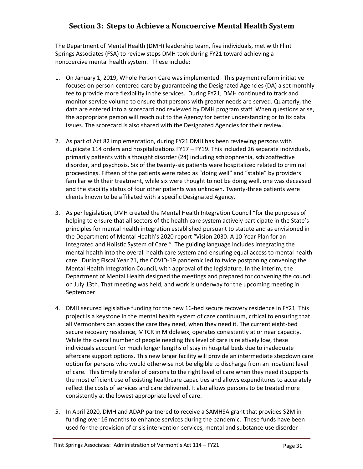# <span id="page-32-0"></span>**Section 3: Steps to Achieve a Noncoercive Mental Health System**

The Department of Mental Health (DMH) leadership team, five individuals, met with Flint Springs Associates (FSA) to review steps DMH took during FY21 toward achieving a noncoercive mental health system. These include:

- 1. On January 1, 2019, Whole Person Care was implemented. This payment reform initiative focuses on person-centered care by guaranteeing the Designated Agencies (DA) a set monthly fee to provide more flexibility in the services. During FY21, DMH continued to track and monitor service volume to ensure that persons with greater needs are served. Quarterly, the data are entered into a scorecard and reviewed by DMH program staff. When questions arise, the appropriate person will reach out to the Agency for better understanding or to fix data issues. The scorecard is also shared with the Designated Agencies for their review.
- 2. As part of Act 82 implementation, during FY21 DMH has been reviewing persons with duplicate 114 orders and hospitalizations FY17 – FY19. This included 26 separate individuals, primarily patients with a thought disorder (24) including schizophrenia, schizoaffective disorder, and psychosis. Six of the twenty-six patients were hospitalized related to criminal proceedings. Fifteen of the patients were rated as "doing well" and "stable" by providers familiar with their treatment, while six were thought to not be doing well, one was deceased and the stability status of four other patients was unknown. Twenty-three patients were clients known to be affiliated with a specific Designated Agency.
- 3. As per legislation, DMH created the Mental Health Integration Council "for the purposes of helping to ensure that all sectors of the health care system actively participate in the State's principles for mental health integration established pursuant to statute and as envisioned in the Department of Mental Health's 2020 report "Vision 2030: A 10-Year Plan for an Integrated and Holistic System of Care." The guiding language includes integrating the mental health into the overall health care system and ensuring equal access to mental health care. During Fiscal Year 21, the COVID-19 pandemic led to twice postponing convening the Mental Health Integration Council, with approval of the legislature. In the interim, the Department of Mental Health designed the meetings and prepared for convening the council on July 13th. That meeting was held, and work is underway for the upcoming meeting in September.
- 4. DMH secured legislative funding for the new 16-bed secure recovery residence in FY21. This project is a keystone in the mental health system of care continuum, critical to ensuring that all Vermonters can access the care they need, when they need it. The current eight-bed secure recovery residence, MTCR in Middlesex, operates consistently at or near capacity. While the overall number of people needing this level of care is relatively low, these individuals account for much longer lengths of stay in hospital beds due to inadequate aftercare support options. This new larger facility will provide an intermediate stepdown care option for persons who would otherwise not be eligible to discharge from an inpatient level of care. This timely transfer of persons to the right level of care when they need it supports the most efficient use of existing healthcare capacities and allows expenditures to accurately reflect the costs of services and care delivered. It also allows persons to be treated more consistently at the lowest appropriate level of care.
- 5. In April 2020, DMH and ADAP partnered to receive a SAMHSA grant that provides \$2M in funding over 16 months to enhance services during the pandemic. These funds have been used for the provision of crisis intervention services, mental and substance use disorder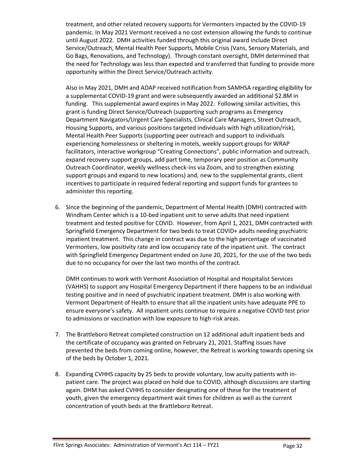treatment, and other related recovery supports for Vermonters impacted by the COVID-19 pandemic. In May 2021 Vermont received a no cost extension allowing the funds to continue until August 2022. DMH activities funded through this original award include Direct Service/Outreach, Mental Health Peer Supports, Mobile Crisis (Vans, Sensory Materials, and Go Bags, Renovations, and Technology). Through constant oversight, DMH determined that the need for Technology was less than expected and transferred that funding to provide more opportunity within the Direct Service/Outreach activity.

Also in May 2021, DMH and ADAP received notification from SAMHSA regarding eligibility for a supplemental COVID-19 grant and were subsequently awarded an additional \$2.8M in funding. This supplemental award expires in May 2022. Following similar activities, this grant is funding Direct Service/Outreach (supporting such programs as Emergency Department Navigators/Urgent Care Specialists, Clinical Care Managers, Street Outreach, Housing Supports, and various positions targeted individuals with high utilization/risk), Mental Health Peer Supports (supporting peer outreach and support to individuals experiencing homelessness or sheltering in motels, weekly support groups for WRAP facilitators, interactive workgroup "Creating Connections", public information and outreach, expand recovery support groups, add part time, temporary peer position as Community Outreach Coordinator, weekly wellness check-ins via Zoom, and to strengthen existing support groups and expand to new locations) and, new to the supplemental grants, client incentives to participate in required federal reporting and support funds for grantees to administer this reporting.

6. Since the beginning of the pandemic, Department of Mental Health (DMH) contracted with Windham Center which is a 10-bed inpatient unit to serve adults that need inpatient treatment and tested positive for COVID. However, from April 1, 2021, DMH contracted with Springfield Emergency Department for two beds to treat COVID+ adults needing psychiatric inpatient treatment. This change in contract was due to the high percentage of vaccinated Vermonters, low positivity rate and low occupancy rate of the inpatient unit. The contract with Springfield Emergency Department ended on June 20, 2021, for the use of the two beds due to no occupancy for over the last two months of the contract.

DMH continues to work with Vermont Association of Hospital and Hospitalist Services (VAHHS) to support any Hospital Emergency Department if there happens to be an individual testing positive and in need of psychiatric inpatient treatment. DMH is also working with Vermont Department of Health to ensure that all the inpatient units have adequate PPE to ensure everyone's safety. All inpatient units continue to require a negative COVID test prior to admissions or vaccination with low exposure to high-risk areas.

- 7. The Brattleboro Retreat completed construction on 12 additional adult inpatient beds and the certificate of occupancy was granted on February 21, 2021. Staffing issues have prevented the beds from coming online, however, the Retreat is working towards opening six of the beds by October 1, 2021.
- 8. Expanding CVHHS capacity by 25 beds to provide voluntary, low acuity patients with inpatient care. The project was placed on hold due to COVID, although discussions are starting again. DHM has asked CVHHS to consider designating one of these for the treatment of youth, given the emergency department wait times for children as well as the current concentration of youth beds at the Brattleboro Retreat.